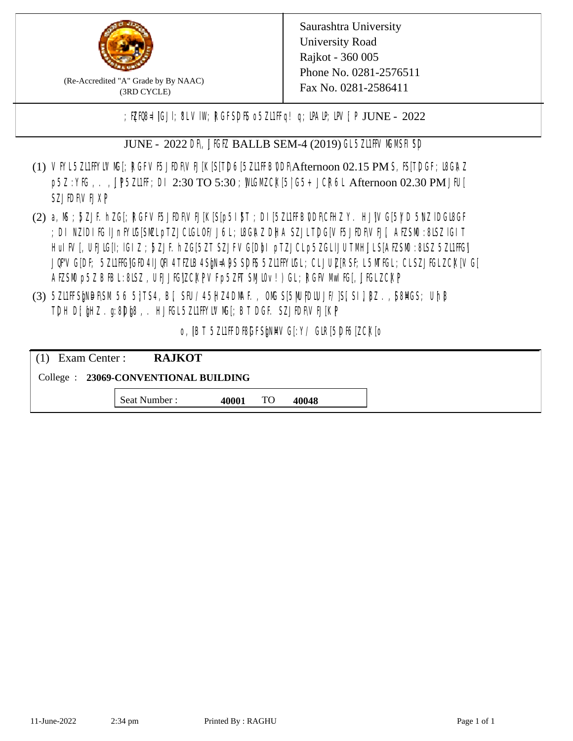

(Re-Accredited "A" Grade by By NAAC) (3RD CYCLE)

; PERB= IGJI; 8L VIW; RGFSDIS o 5ZL1 Fig! q; DAIP; DV[; P JUNE - 2022

JUNE - 2022 DR, JIGIZ BALLB SEM-4 (2019) GL 5ZI1HVMMSH SD

- (1) VFYL5ZI1FFYLVM[; RGFVF5JEDF\VEJ[K[S[T]D6[5ZI1FFB0DF\Afternoon 02.15 PM S, IS[T]DGF; I8G\AZ p5Z : YIG, .., UP5ZI1FF; DI 2:30 TO 5:30 ; MGM CX[5| G5+ JCR6L Afternoon 02.30 PM JFU[ **SZJIDFVEJXP**
- (2) a, M ; BZJE hZG[; RGFVE5JIDF\VEJ[K[S[p5I]\$T ; DI[5ZI1IFB\DDF\CHIZ Y. HJ]\VG[5|YD 5\VZ lDGI8GF ; DI NZIDI K; IJnFYIG[SMLpTZJCIGLOF/J6L; ISGAZ DHA SZJLTDG[VF5JEDF\VEJ[, AEZSM0 :8LSZ IGIT] HuIFV[, UEJG[]; IGIZ ; 5ZJF. hZG[5ZT SZJFVG[DbI pTZJCLp5ZGLIJUTMHJLS[AEZSM0 :8LSZ 5Z11HG] JQFVG[DF; 5Z11HG]GED4 LJQH 4 TEZIB4 SEN= APS SDES 5Z11 HYIGL ;CL JUL [RSF;L 5MTGL ;CL SZJFGL ZCK[ VG[ AESM p5Z BBL:8LSZ, UEJIG|ZCKPVF p5ZFT SML0v!) GL; RGFVM KF, JIGL ZCKP
- (3) 5ZUFFS&NDF\SM.56 5}TS4, B[, SFU/45HZ4D\MAF., OMS[5|NU|PDIUJF/]S[ SI], [8Z.,[S8]ACS; Uh[8 TDH D[ $jHZ$ .g:8D $jg$ ,. HJ $KL$ 5ZL1FFYLVMS[;BT DGF. SZJEDFIVEJ[KP]

o, JBT 5Z11FDBGFSPNMG[:Y/ GIR[5DF6]ZCK[0

| $(1)$ Exam Center :                   | <b>RAJKOT</b> |       |    |       |  |  |
|---------------------------------------|---------------|-------|----|-------|--|--|
| College : 23069-CONVENTIONAL BUILDING |               |       |    |       |  |  |
|                                       | Seat Number : | 40001 | TO | 40048 |  |  |